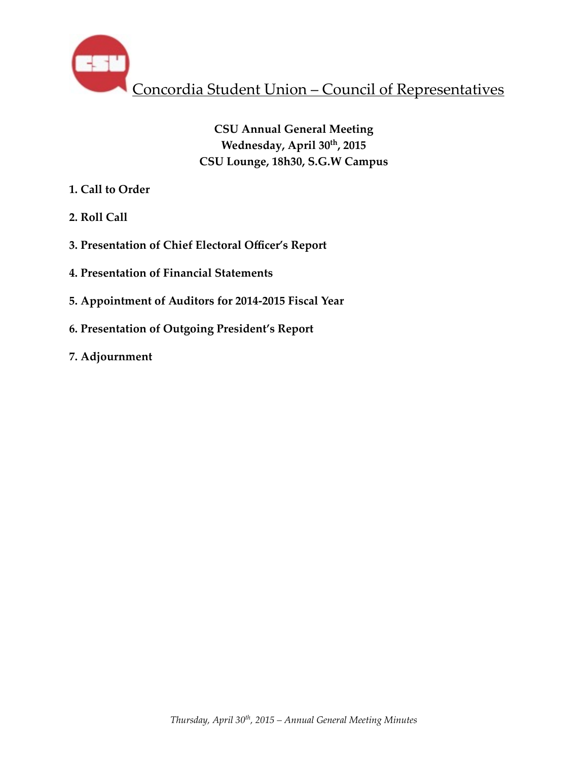

# **CSU Annual General Meeting Wednesday, April 30th, 2015 CSU Lounge, 18h30, S.G.W Campus**

- **1. Call to Order**
- **2. Roll Call**
- **3. Presentation of Chief Electoral Officer's Report**
- **4. Presentation of Financial Statements**
- **5. Appointment of Auditors for 2014-2015 Fiscal Year**
- **6. Presentation of Outgoing President's Report**
- **7. Adjournment**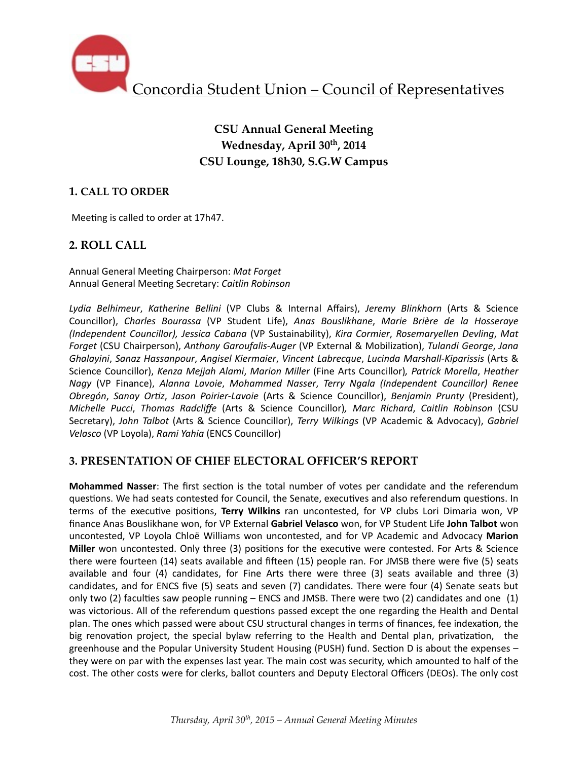

## **CSU Annual General Meeting Wednesday, April 30th, 2014 CSU Lounge, 18h30, S.G.W Campus**

#### **1. CALL TO ORDER**

Meeting is called to order at 17h47.

#### **2. ROLL CALL**

Annual General Meeting Chairperson: Mat Forget Annual General Meeting Secretary: Caitlin Robinson

*Lydia Belhimeur*, *Katherine Bellini* (VP Clubs & Internal Affairs), *Jeremy Blinkhorn*  (Arts & Science Councillor), *Charles Bourassa*  (VP Student Life), *Anas Bouslikhane*, *Marie Brière de la Hosseraye (Independent Councillor), Jessica Cabana* (VP Sustainability), *Kira Cormier*, *Rosemaryellen Devling*, *Mat Forget* (CSU Chairperson), Anthony Garoufalis-Auger (VP External & Mobilization), Tulandi George, Jana *Ghalayini*, *Sanaz Hassanpour*, *Angisel Kiermaier*, *Vincent Labrecque*, *Lucinda Marshall-Kiparissis* (Arts & Science Councillor), *Kenza Mejjah Alami, Marion Miller* (Fine Arts Councillor), Patrick Morella, Heather *Nagy* (VP Finance), Alanna Lavoie, Mohammed Nasser, Terry Ngala (Independent Councillor) Renee *Obregón, Sanay Ortiz, Jason Poirier-Lavoie* (Arts & Science Councillor), *Benjamin Prunty* (President), *Michelle Pucci*, *Thomas Radcliffe*  (Arts & Science Councillor)*, Marc Richard*, *Caitlin Robinson*  (CSU Secretary), John Talbot (Arts & Science Councillor), *Terry Wilkings* (VP Academic & Advocacy), Gabriel *Velasco* (VP Loyola), *Rami Yahia* (ENCS Councillor)

#### **3. PRESENTATION OF CHIEF ELECTORAL OFFICER'S REPORT**

**Mohammed Nasser**: The first section is the total number of votes per candidate and the referendum questions. We had seats contested for Council, the Senate, executives and also referendum questions. In terms of the executive positions, Terry Wilkins ran uncontested, for VP clubs Lori Dimaria won, VP finance Anas Bouslikhane won, for VP External Gabriel Velasco won, for VP Student Life John Talbot won uncontested, VP Loyola Chloë Williams won uncontested, and for VP Academic and Advocacy Marion **Miller** won uncontested. Only three (3) positions for the executive were contested. For Arts & Science there were fourteen (14) seats available and fifteen (15) people ran. For JMSB there were five (5) seats available and four  $(4)$  candidates, for Fine Arts there were three  $(3)$  seats available and three  $(3)$ candidates, and for ENCS five (5) seats and seven (7) candidates. There were four (4) Senate seats but only two (2) faculties saw people running  $-$  ENCS and JMSB. There were two (2) candidates and one (1) was victorious. All of the referendum questions passed except the one regarding the Health and Dental plan. The ones which passed were about CSU structural changes in terms of finances, fee indexation, the big renovation project, the special bylaw referring to the Health and Dental plan, privatization, the greenhouse and the Popular University Student Housing (PUSH) fund. Section D is about the expenses they were on par with the expenses last year. The main cost was security, which amounted to half of the cost. The other costs were for clerks, ballot counters and Deputy Electoral Officers (DEOs). The only cost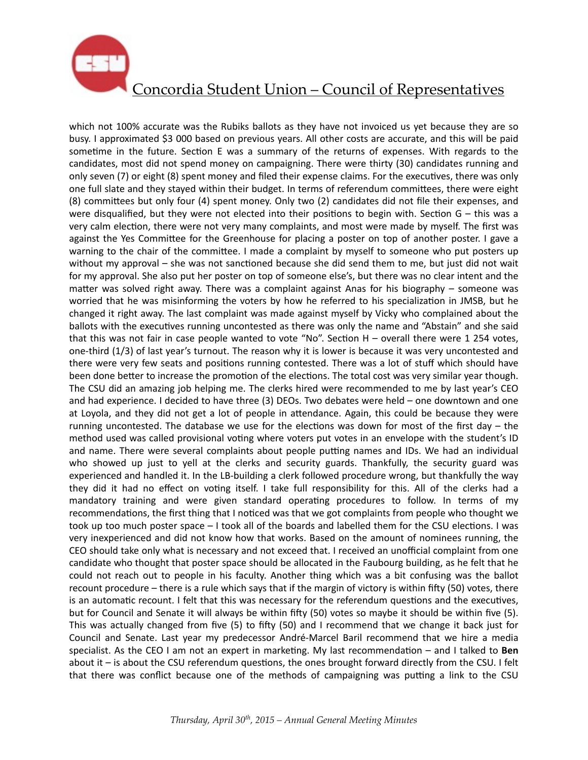

which not 100% accurate was the Rubiks ballots as they have not invoiced us yet because they are so busy. I approximated \$3 000 based on previous years. All other costs are accurate, and this will be paid sometime in the future. Section E was a summary of the returns of expenses. With regards to the candidates, most did not spend money on campaigning. There were thirty (30) candidates running and only seven (7) or eight (8) spent money and filed their expense claims. For the executives, there was only one full slate and they stayed within their budget. In terms of referendum committees, there were eight (8) committees but only four (4) spent money. Only two (2) candidates did not file their expenses, and were disqualified, but they were not elected into their positions to begin with. Section  $G -$  this was a very calm election, there were not very many complaints, and most were made by myself. The first was against the Yes Committee for the Greenhouse for placing a poster on top of another poster. I gave a warning to the chair of the committee. I made a complaint by myself to someone who put posters up without my approval – she was not sanctioned because she did send them to me, but just did not wait for my approval. She also put her poster on top of someone else's, but there was no clear intent and the matter was solved right away. There was a complaint against Anas for his biography – someone was worried that he was misinforming the voters by how he referred to his specialization in JMSB, but he changed it right away. The last complaint was made against myself by Vicky who complained about the ballots with the executives running uncontested as there was only the name and "Abstain" and she said that this was not fair in case people wanted to vote "No". Section  $H -$  overall there were 1 254 votes, one-third (1/3) of last year's turnout. The reason why it is lower is because it was very uncontested and there were very few seats and positions running contested. There was a lot of stuff which should have been done better to increase the promotion of the elections. The total cost was very similar year though. The CSU did an amazing job helping me. The clerks hired were recommended to me by last year's CEO and had experience. I decided to have three (3) DEOs. Two debates were held - one downtown and one at Loyola, and they did not get a lot of people in attendance. Again, this could be because they were running uncontested. The database we use for the elections was down for most of the first day – the method used was called provisional voting where voters put votes in an envelope with the student's ID and name. There were several complaints about people putting names and IDs. We had an individual who showed up just to yell at the clerks and security guards. Thankfully, the security guard was experienced and handled it. In the LB-building a clerk followed procedure wrong, but thankfully the way they did it had no effect on voting itself. I take full responsibility for this. All of the clerks had a mandatory training and were given standard operating procedures to follow. In terms of my recommendations, the first thing that I noticed was that we got complaints from people who thought we took up too much poster space - I took all of the boards and labelled them for the CSU elections. I was very inexperienced and did not know how that works. Based on the amount of nominees running, the CEO should take only what is necessary and not exceed that. I received an unofficial complaint from one candidate who thought that poster space should be allocated in the Faubourg building, as he felt that he could not reach out to people in his faculty. Another thing which was a bit confusing was the ballot recount procedure – there is a rule which says that if the margin of victory is within fifty (50) votes, there is an automatic recount. I felt that this was necessary for the referendum questions and the executives, but for Council and Senate it will always be within fifty (50) votes so maybe it should be within five (5). This was actually changed from five  $(5)$  to fifty  $(50)$  and I recommend that we change it back just for Council and Senate. Last year my predecessor André-Marcel Baril recommend that we hire a media specialist. As the CEO I am not an expert in marketing. My last recommendation – and I talked to **Ben** about it – is about the CSU referendum questions, the ones brought forward directly from the CSU. I felt that there was conflict because one of the methods of campaigning was putting a link to the CSU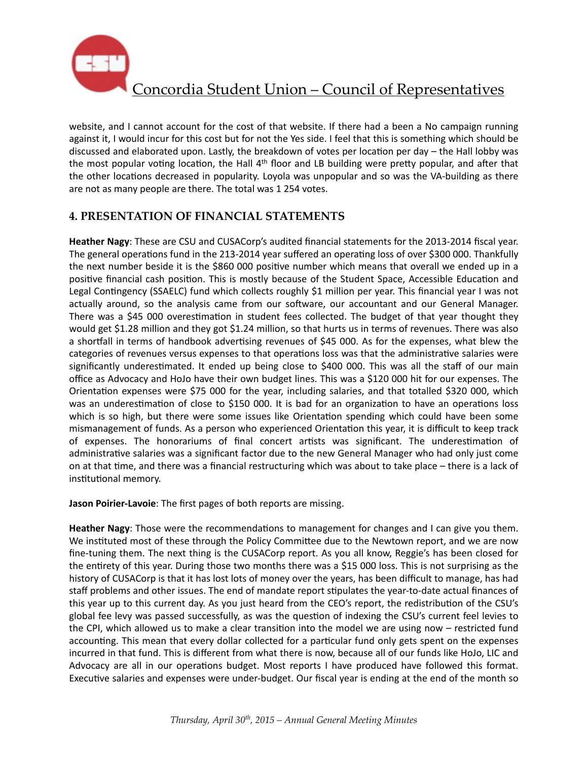

website, and I cannot account for the cost of that website. If there had a been a No campaign running against it, I would incur for this cost but for not the Yes side. I feel that this is something which should be discussed and elaborated upon. Lastly, the breakdown of votes per location per day  $-$  the Hall lobby was the most popular voting location, the Hall  $4<sup>th</sup>$  floor and LB building were pretty popular, and after that the other locations decreased in popularity. Loyola was unpopular and so was the VA-building as there are not as many people are there. The total was 1 254 votes.

### **4. PRESENTATION OF FINANCIAL STATEMENTS**

Heather Nagy: These are CSU and CUSACorp's audited financial statements for the 2013-2014 fiscal year. The general operations fund in the 213-2014 year suffered an operating loss of over \$300 000. Thankfully the next number beside it is the \$860 000 positive number which means that overall we ended up in a positive financial cash position. This is mostly because of the Student Space, Accessible Education and Legal Contingency (SSAELC) fund which collects roughly \$1 million per year. This financial year I was not actually around, so the analysis came from our software, our accountant and our General Manager. There was a \$45 000 overestimation in student fees collected. The budget of that year thought they would get \$1.28 million and they got \$1.24 million, so that hurts us in terms of revenues. There was also a shortfall in terms of handbook advertising revenues of \$45 000. As for the expenses, what blew the categories of revenues versus expenses to that operations loss was that the administrative salaries were significantly underestimated. It ended up being close to \$400 000. This was all the staff of our main office as Advocacy and HoJo have their own budget lines. This was a \$120 000 hit for our expenses. The Orientation expenses were \$75 000 for the year, including salaries, and that totalled \$320 000, which was an underestimation of close to \$150 000. It is bad for an organization to have an operations loss which is so high, but there were some issues like Orientation spending which could have been some mismanagement of funds. As a person who experienced Orientation this year, it is difficult to keep track of expenses. The honorariums of final concert artists was significant. The underestimation of administrative salaries was a significant factor due to the new General Manager who had only just come on at that time, and there was a financial restructuring which was about to take place – there is a lack of institutional memory.

**Jason Poirier-Lavoie**: The first pages of both reports are missing.

**Heather Nagy**: Those were the recommendations to management for changes and I can give you them. We instituted most of these through the Policy Committee due to the Newtown report, and we are now fine-tuning them. The next thing is the CUSACorp report. As you all know, Reggie's has been closed for the entirety of this year. During those two months there was a \$15 000 loss. This is not surprising as the history of CUSACorp is that it has lost lots of money over the years, has been difficult to manage, has had staff problems and other issues. The end of mandate report stipulates the year-to-date actual finances of this year up to this current day. As you just heard from the CEO's report, the redistribution of the CSU's global fee levy was passed successfully, as was the question of indexing the CSU's current feel levies to the CPI, which allowed us to make a clear transition into the model we are using now – restricted fund accounting. This mean that every dollar collected for a particular fund only gets spent on the expenses incurred in that fund. This is different from what there is now, because all of our funds like HoJo, LIC and Advocacy are all in our operations budget. Most reports I have produced have followed this format. Executive salaries and expenses were under-budget. Our fiscal year is ending at the end of the month so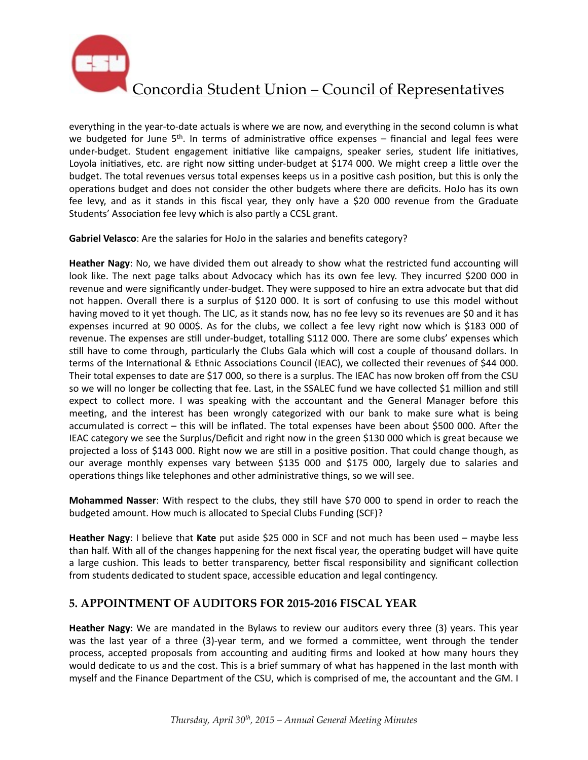

everything in the year-to-date actuals is where we are now, and everything in the second column is what we budgeted for June  $5<sup>th</sup>$ . In terms of administrative office expenses – financial and legal fees were under-budget. Student engagement initiative like campaigns, speaker series, student life initiatives, Loyola initiatives, etc. are right now sitting under-budget at \$174 000. We might creep a little over the budget. The total revenues versus total expenses keeps us in a positive cash position, but this is only the operations budget and does not consider the other budgets where there are deficits. HoJo has its own fee levy, and as it stands in this fiscal year, they only have a \$20 000 revenue from the Graduate Students' Association fee levy which is also partly a CCSL grant.

**Gabriel Velasco**: Are the salaries for HoJo in the salaries and benefits category?

Heather Nagy: No, we have divided them out already to show what the restricted fund accounting will look like. The next page talks about Advocacy which has its own fee levy. They incurred \$200 000 in revenue and were significantly under-budget. They were supposed to hire an extra advocate but that did not happen. Overall there is a surplus of \$120 000. It is sort of confusing to use this model without having moved to it yet though. The LIC, as it stands now, has no fee levy so its revenues are \$0 and it has expenses incurred at 90 000\$. As for the clubs, we collect a fee levy right now which is \$183 000 of revenue. The expenses are still under-budget, totalling \$112 000. There are some clubs' expenses which still have to come through, particularly the Clubs Gala which will cost a couple of thousand dollars. In terms of the International & Ethnic Associations Council (IEAC), we collected their revenues of \$44 000. Their total expenses to date are \$17 000, so there is a surplus. The IEAC has now broken off from the CSU so we will no longer be collecting that fee. Last, in the SSALEC fund we have collected \$1 million and still expect to collect more. I was speaking with the accountant and the General Manager before this meeting, and the interest has been wrongly categorized with our bank to make sure what is being accumulated is correct - this will be inflated. The total expenses have been about \$500 000. After the IEAC category we see the Surplus/Deficit and right now in the green \$130 000 which is great because we projected a loss of \$143 000. Right now we are still in a positive position. That could change though, as our average monthly expenses vary between \$135 000 and \$175 000, largely due to salaries and operations things like telephones and other administrative things, so we will see.

**Mohammed Nasser**: With respect to the clubs, they still have \$70 000 to spend in order to reach the budgeted amount. How much is allocated to Special Clubs Funding (SCF)?

Heather Nagy: I believe that Kate put aside \$25 000 in SCF and not much has been used – maybe less than half. With all of the changes happening for the next fiscal year, the operating budget will have quite a large cushion. This leads to better transparency, better fiscal responsibility and significant collection from students dedicated to student space, accessible education and legal contingency.

#### **5. APPOINTMENT OF AUDITORS FOR 2015-2016 FISCAL YEAR**

**Heather Nagy**: We are mandated in the Bylaws to review our auditors every three (3) years. This year was the last year of a three (3)-year term, and we formed a committee, went through the tender process, accepted proposals from accounting and auditing firms and looked at how many hours they would dedicate to us and the cost. This is a brief summary of what has happened in the last month with myself and the Finance Department of the CSU, which is comprised of me, the accountant and the GM. I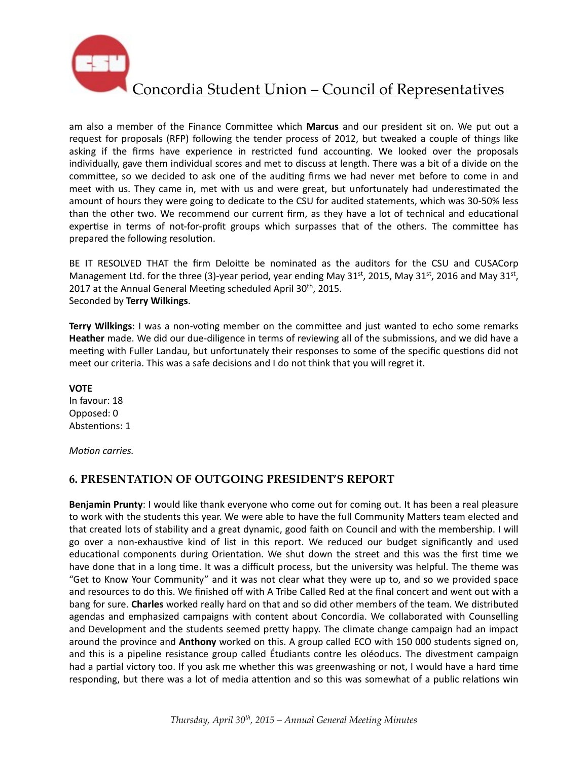

am also a member of the Finance Committee which Marcus and our president sit on. We put out a request for proposals (RFP) following the tender process of 2012, but tweaked a couple of things like asking if the firms have experience in restricted fund accounting. We looked over the proposals individually, gave them individual scores and met to discuss at length. There was a bit of a divide on the committee, so we decided to ask one of the auditing firms we had never met before to come in and meet with us. They came in, met with us and were great, but unfortunately had underestimated the amount of hours they were going to dedicate to the CSU for audited statements, which was 30-50% less than the other two. We recommend our current firm, as they have a lot of technical and educational expertise in terms of not-for-profit groups which surpasses that of the others. The committee has prepared the following resolution.

BE IT RESOLVED THAT the firm Deloitte be nominated as the auditors for the CSU and CUSACorp Management Ltd. for the three (3)-year period, year ending May  $31^{st}$ , 2015, May  $31^{st}$ , 2016 and May  $31^{st}$ , 2017 at the Annual General Meeting scheduled April 30<sup>th</sup>, 2015. Seconded by **Terry Wilkings**. 

**Terry Wilkings**: I was a non-voting member on the committee and just wanted to echo some remarks **Heather** made. We did our due-diligence in terms of reviewing all of the submissions, and we did have a meeting with Fuller Landau, but unfortunately their responses to some of the specific questions did not meet our criteria. This was a safe decisions and I do not think that you will regret it.

**VOTE** In favour: 18 Opposed: 0 Abstentions: 1

*Motion carries.* 

#### **6. PRESENTATION OF OUTGOING PRESIDENT'S REPORT**

**Benjamin Prunty**: I would like thank everyone who come out for coming out. It has been a real pleasure to work with the students this year. We were able to have the full Community Matters team elected and that created lots of stability and a great dynamic, good faith on Council and with the membership. I will go over a non-exhaustive kind of list in this report. We reduced our budget significantly and used educational components during Orientation. We shut down the street and this was the first time we have done that in a long time. It was a difficult process, but the university was helpful. The theme was "Get to Know Your Community" and it was not clear what they were up to, and so we provided space and resources to do this. We finished off with A Tribe Called Red at the final concert and went out with a bang for sure. Charles worked really hard on that and so did other members of the team. We distributed agendas and emphasized campaigns with content about Concordia. We collaborated with Counselling and Development and the students seemed pretty happy. The climate change campaign had an impact around the province and **Anthony** worked on this. A group called ECO with 150 000 students signed on, and this is a pipeline resistance group called Étudiants contre les oléoducs. The divestment campaign had a partial victory too. If you ask me whether this was greenwashing or not, I would have a hard time responding, but there was a lot of media attention and so this was somewhat of a public relations win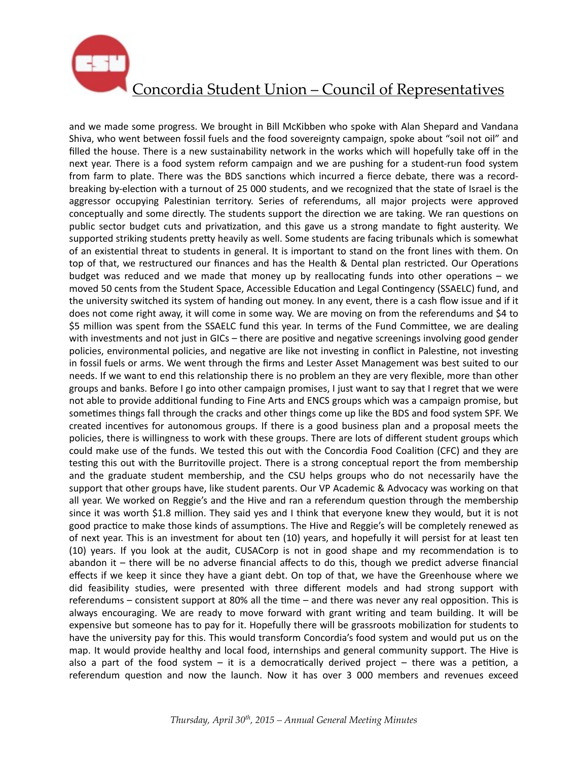

and we made some progress. We brought in Bill McKibben who spoke with Alan Shepard and Vandana Shiva, who went between fossil fuels and the food sovereignty campaign, spoke about "soil not oil" and filled the house. There is a new sustainability network in the works which will hopefully take off in the next year. There is a food system reform campaign and we are pushing for a student-run food system from farm to plate. There was the BDS sanctions which incurred a fierce debate, there was a recordbreaking by-election with a turnout of 25 000 students, and we recognized that the state of Israel is the aggressor occupying Palestinian territory. Series of referendums, all major projects were approved conceptually and some directly. The students support the direction we are taking. We ran questions on public sector budget cuts and privatization, and this gave us a strong mandate to fight austerity. We supported striking students pretty heavily as well. Some students are facing tribunals which is somewhat of an existential threat to students in general. It is important to stand on the front lines with them. On top of that, we restructured our finances and has the Health & Dental plan restricted. Our Operations budget was reduced and we made that money up by reallocating funds into other operations  $-$  we moved 50 cents from the Student Space, Accessible Education and Legal Contingency (SSAELC) fund, and the university switched its system of handing out money. In any event, there is a cash flow issue and if it does not come right away, it will come in some way. We are moving on from the referendums and \$4 to \$5 million was spent from the SSAELC fund this year. In terms of the Fund Committee, we are dealing with investments and not just in GICs – there are positive and negative screenings involving good gender policies, environmental policies, and negative are like not investing in conflict in Palestine, not investing in fossil fuels or arms. We went through the firms and Lester Asset Management was best suited to our needs. If we want to end this relationship there is no problem an they are very flexible, more than other groups and banks. Before I go into other campaign promises, I just want to say that I regret that we were not able to provide additional funding to Fine Arts and ENCS groups which was a campaign promise, but sometimes things fall through the cracks and other things come up like the BDS and food system SPF. We created incentives for autonomous groups. If there is a good business plan and a proposal meets the policies, there is willingness to work with these groups. There are lots of different student groups which could make use of the funds. We tested this out with the Concordia Food Coalition (CFC) and they are testing this out with the Burritoville project. There is a strong conceptual report the from membership and the graduate student membership, and the CSU helps groups who do not necessarily have the support that other groups have, like student parents. Our VP Academic & Advocacy was working on that all year. We worked on Reggie's and the Hive and ran a referendum question through the membership since it was worth \$1.8 million. They said yes and I think that everyone knew they would, but it is not good practice to make those kinds of assumptions. The Hive and Reggie's will be completely renewed as of next year. This is an investment for about ten (10) years, and hopefully it will persist for at least ten (10) years. If you look at the audit, CUSACorp is not in good shape and my recommendation is to abandon it  $-$  there will be no adverse financial affects to do this, though we predict adverse financial effects if we keep it since they have a giant debt. On top of that, we have the Greenhouse where we did feasibility studies, were presented with three different models and had strong support with referendums – consistent support at 80% all the time – and there was never any real opposition. This is always encouraging. We are ready to move forward with grant writing and team building. It will be expensive but someone has to pay for it. Hopefully there will be grassroots mobilization for students to have the university pay for this. This would transform Concordia's food system and would put us on the map. It would provide healthy and local food, internships and general community support. The Hive is also a part of the food system  $-$  it is a democratically derived project  $-$  there was a petition, a referendum question and now the launch. Now it has over 3 000 members and revenues exceed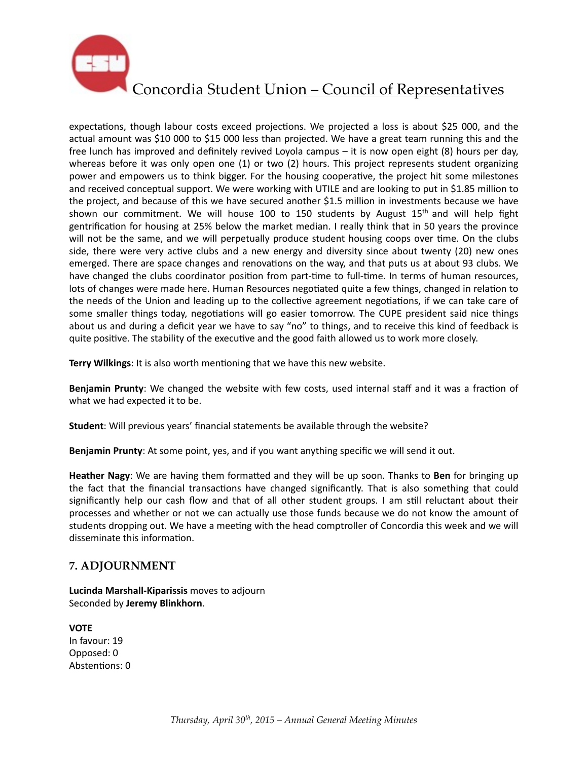

expectations, though labour costs exceed projections. We projected a loss is about \$25 000, and the actual amount was \$10 000 to \$15 000 less than projected. We have a great team running this and the free lunch has improved and definitely revived Loyola campus  $-$  it is now open eight (8) hours per day, whereas before it was only open one (1) or two (2) hours. This project represents student organizing power and empowers us to think bigger. For the housing cooperative, the project hit some milestones and received conceptual support. We were working with UTILE and are looking to put in \$1.85 million to the project, and because of this we have secured another \$1.5 million in investments because we have shown our commitment. We will house 100 to 150 students by August  $15<sup>th</sup>$  and will help fight gentrification for housing at 25% below the market median. I really think that in 50 years the province will not be the same, and we will perpetually produce student housing coops over time. On the clubs side, there were very active clubs and a new energy and diversity since about twenty (20) new ones emerged. There are space changes and renovations on the way, and that puts us at about 93 clubs. We have changed the clubs coordinator position from part-time to full-time. In terms of human resources, lots of changes were made here. Human Resources negotiated quite a few things, changed in relation to the needs of the Union and leading up to the collective agreement negotiations, if we can take care of some smaller things today, negotiations will go easier tomorrow. The CUPE president said nice things about us and during a deficit year we have to say "no" to things, and to receive this kind of feedback is quite positive. The stability of the executive and the good faith allowed us to work more closely.

**Terry Wilkings:** It is also worth mentioning that we have this new website.

**Benjamin Prunty**: We changed the website with few costs, used internal staff and it was a fraction of what we had expected it to be.

**Student:** Will previous years' financial statements be available through the website?

Benjamin Prunty: At some point, yes, and if you want anything specific we will send it out.

**Heather Nagy:** We are having them formatted and they will be up soon. Thanks to **Ben** for bringing up the fact that the financial transactions have changed significantly. That is also something that could significantly help our cash flow and that of all other student groups. I am still reluctant about their processes and whether or not we can actually use those funds because we do not know the amount of students dropping out. We have a meeting with the head comptroller of Concordia this week and we will disseminate this information.

#### **7. ADJOURNMENT**

**Lucinda Marshall-Kiparissis** moves to adjourn Seconded by **Jeremy Blinkhorn**. 

**VOTE**  In favour: 19 Opposed: 0 Abstentions: 0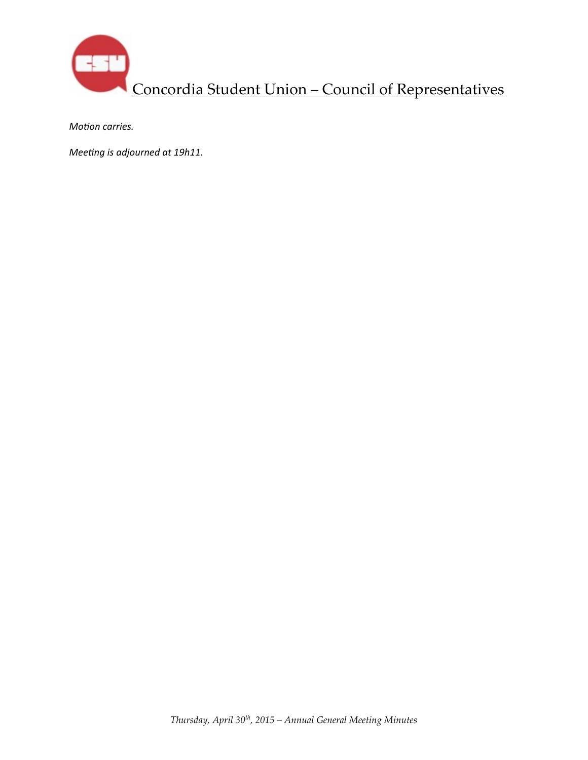

*Motion carries.* 

*Meeting is adjourned at 19h11.*